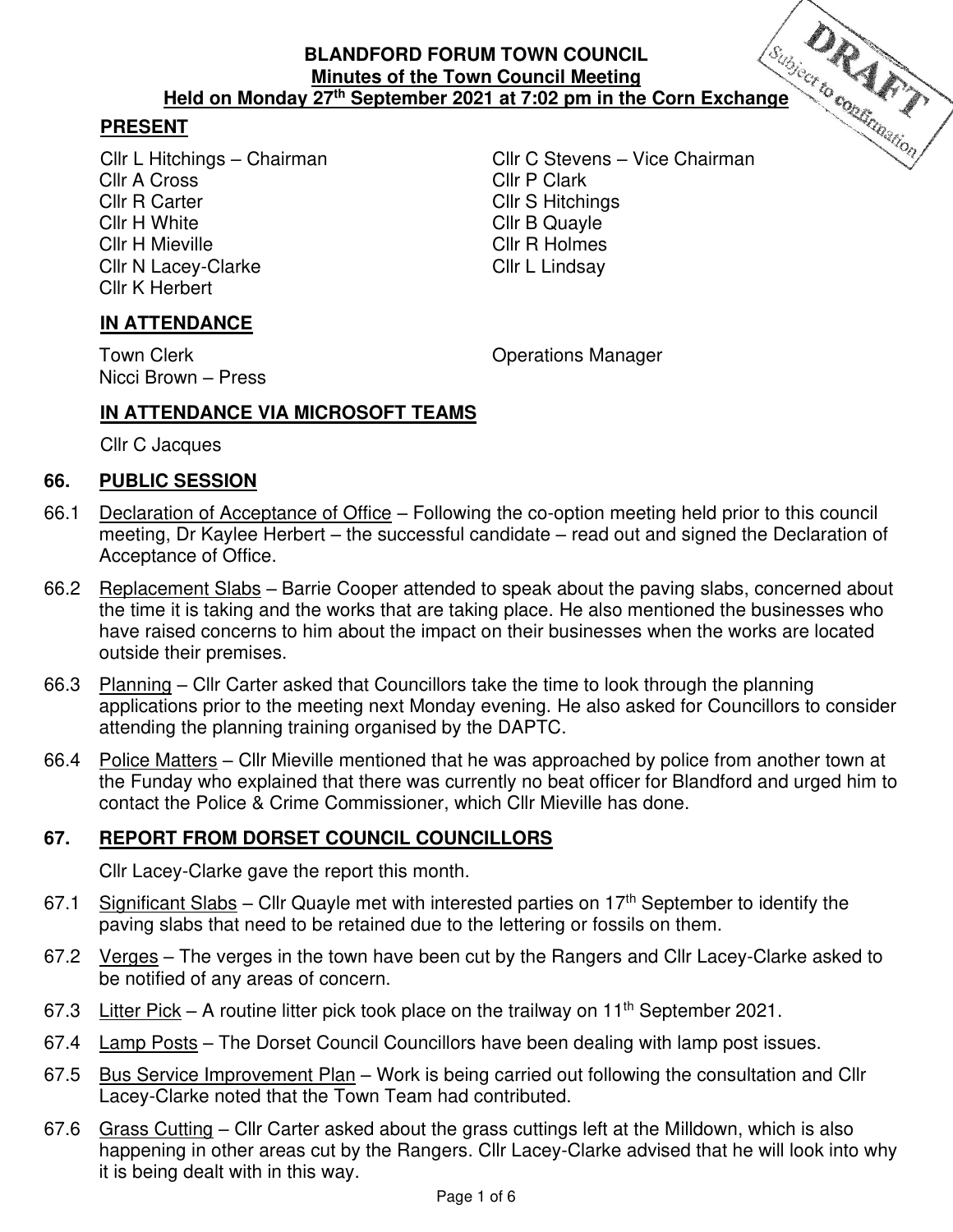### **PRESENT**

Cllr A Cross Cllr R Carter Cliff S Hitchings Cllr H White Cllr B Quayle Cllr H Mieville **Cllr R Holmes** Cllr N Lacey-Clarke Cllr L Lindsay Cllr K Herbert

Cllr L Hitchings – Chairman Cllr C Stevens – Vice Chairman

## **IN ATTENDANCE**

Nicci Brown – Press

Town Clerk **Town Clear Clerk** Clear Contract Clear Clear Clear Contract Clear Clear Clear Clear Clear Clear Clear

### **IN ATTENDANCE VIA MICROSOFT TEAMS**

Cllr C Jacques

#### **66. PUBLIC SESSION**

- 66.1 Declaration of Acceptance of Office Following the co-option meeting held prior to this council meeting, Dr Kaylee Herbert – the successful candidate – read out and signed the Declaration of Acceptance of Office.
- 66.2 Replacement Slabs Barrie Cooper attended to speak about the paving slabs, concerned about the time it is taking and the works that are taking place. He also mentioned the businesses who have raised concerns to him about the impact on their businesses when the works are located outside their premises.
- 66.3 Planning Cllr Carter asked that Councillors take the time to look through the planning applications prior to the meeting next Monday evening. He also asked for Councillors to consider attending the planning training organised by the DAPTC.
- 66.4 Police Matters Cllr Mieville mentioned that he was approached by police from another town at the Funday who explained that there was currently no beat officer for Blandford and urged him to contact the Police & Crime Commissioner, which Cllr Mieville has done.

#### **67. REPORT FROM DORSET COUNCIL COUNCILLORS**

Cllr Lacey-Clarke gave the report this month.

- 67.1 Significant Slabs Cllr Quayle met with interested parties on 17<sup>th</sup> September to identify the paving slabs that need to be retained due to the lettering or fossils on them.
- 67.2 Verges The verges in the town have been cut by the Rangers and Cllr Lacey-Clarke asked to be notified of any areas of concern.
- 67.3 Litter Pick A routine litter pick took place on the trailway on 11<sup>th</sup> September 2021.
- 67.4 Lamp Posts The Dorset Council Councillors have been dealing with lamp post issues.
- 67.5 Bus Service Improvement Plan Work is being carried out following the consultation and Cllr Lacey-Clarke noted that the Town Team had contributed.
- 67.6 Grass Cutting Cllr Carter asked about the grass cuttings left at the Milldown, which is also happening in other areas cut by the Rangers. Cllr Lacey-Clarke advised that he will look into why it is being dealt with in this way.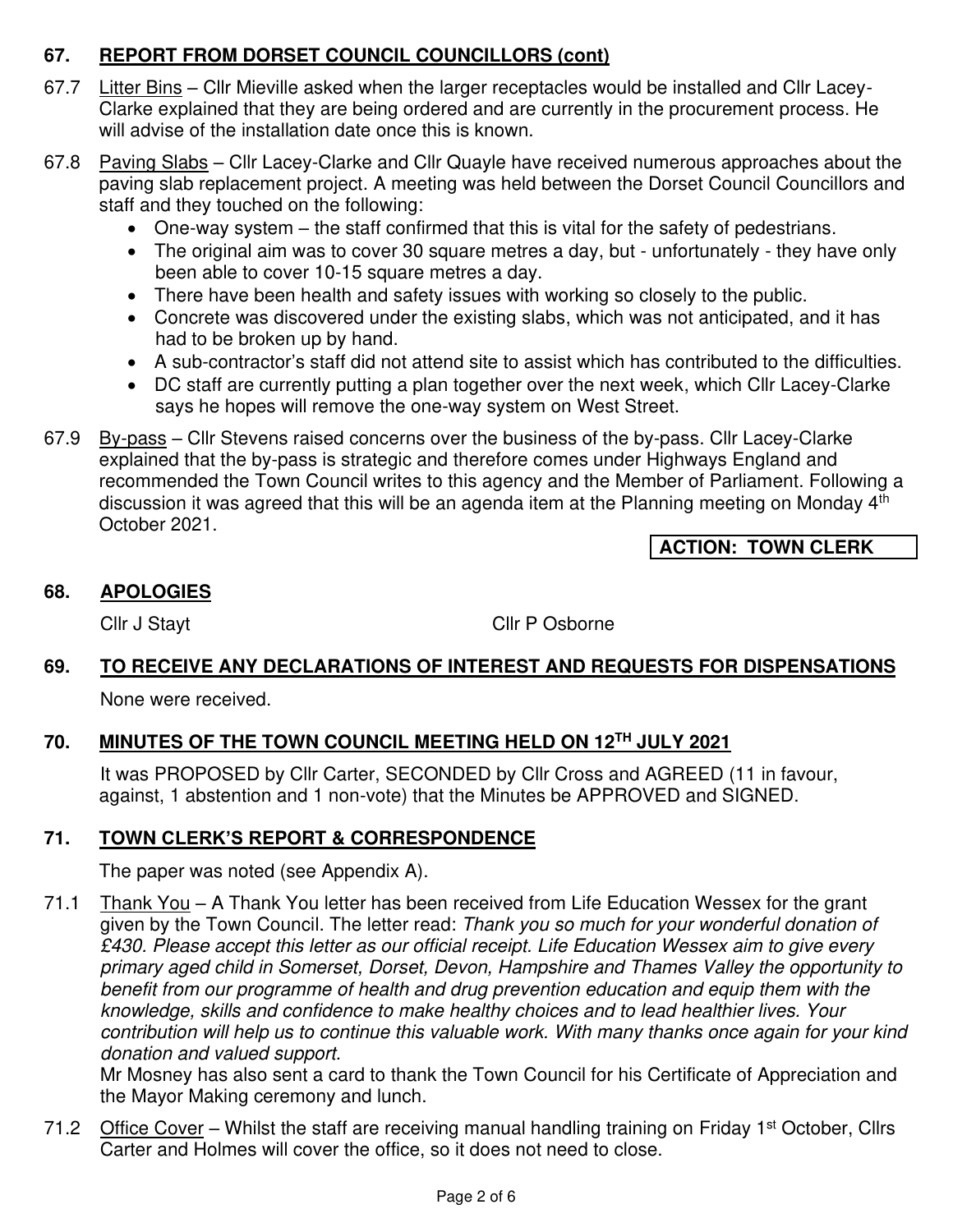# **67. REPORT FROM DORSET COUNCIL COUNCILLORS (cont)**

- 67.7 Litter Bins Cllr Mieville asked when the larger receptacles would be installed and Cllr Lacey-Clarke explained that they are being ordered and are currently in the procurement process. He will advise of the installation date once this is known.
- 67.8 Paving Slabs Cllr Lacey-Clarke and Cllr Quayle have received numerous approaches about the paving slab replacement project. A meeting was held between the Dorset Council Councillors and staff and they touched on the following:
	- One-way system the staff confirmed that this is vital for the safety of pedestrians.
	- The original aim was to cover 30 square metres a day, but unfortunately they have only been able to cover 10-15 square metres a day.
	- There have been health and safety issues with working so closely to the public.
	- Concrete was discovered under the existing slabs, which was not anticipated, and it has had to be broken up by hand.
	- A sub-contractor's staff did not attend site to assist which has contributed to the difficulties.
	- DC staff are currently putting a plan together over the next week, which Cllr Lacey-Clarke says he hopes will remove the one-way system on West Street.
- 67.9 By-pass Cllr Stevens raised concerns over the business of the by-pass. Cllr Lacey-Clarke explained that the by-pass is strategic and therefore comes under Highways England and recommended the Town Council writes to this agency and the Member of Parliament. Following a discussion it was agreed that this will be an agenda item at the Planning meeting on Monday 4<sup>th</sup> October 2021.

**ACTION: TOWN CLERK** 

### **68. APOLOGIES**

Cllr J Stayt Cllr P Osborne

# **69. TO RECEIVE ANY DECLARATIONS OF INTEREST AND REQUESTS FOR DISPENSATIONS**

None were received.

# **70. MINUTES OF THE TOWN COUNCIL MEETING HELD ON 12TH JULY 2021**

 It was PROPOSED by Cllr Carter, SECONDED by Cllr Cross and AGREED (11 in favour, against, 1 abstention and 1 non-vote) that the Minutes be APPROVED and SIGNED.

## **71. TOWN CLERK'S REPORT & CORRESPONDENCE**

The paper was noted (see Appendix A).

71.1 Thank You – A Thank You letter has been received from Life Education Wessex for the grant given by the Town Council. The letter read: Thank you so much for your wonderful donation of £430. Please accept this letter as our official receipt. Life Education Wessex aim to give every primary aged child in Somerset, Dorset, Devon, Hampshire and Thames Valley the opportunity to benefit from our programme of health and drug prevention education and equip them with the knowledge, skills and confidence to make healthy choices and to lead healthier lives. Your contribution will help us to continue this valuable work. With many thanks once again for your kind donation and valued support.

Mr Mosney has also sent a card to thank the Town Council for his Certificate of Appreciation and the Mayor Making ceremony and lunch.

71.2 Office Cover – Whilst the staff are receiving manual handling training on Friday 1<sup>st</sup> October, Cllrs Carter and Holmes will cover the office, so it does not need to close.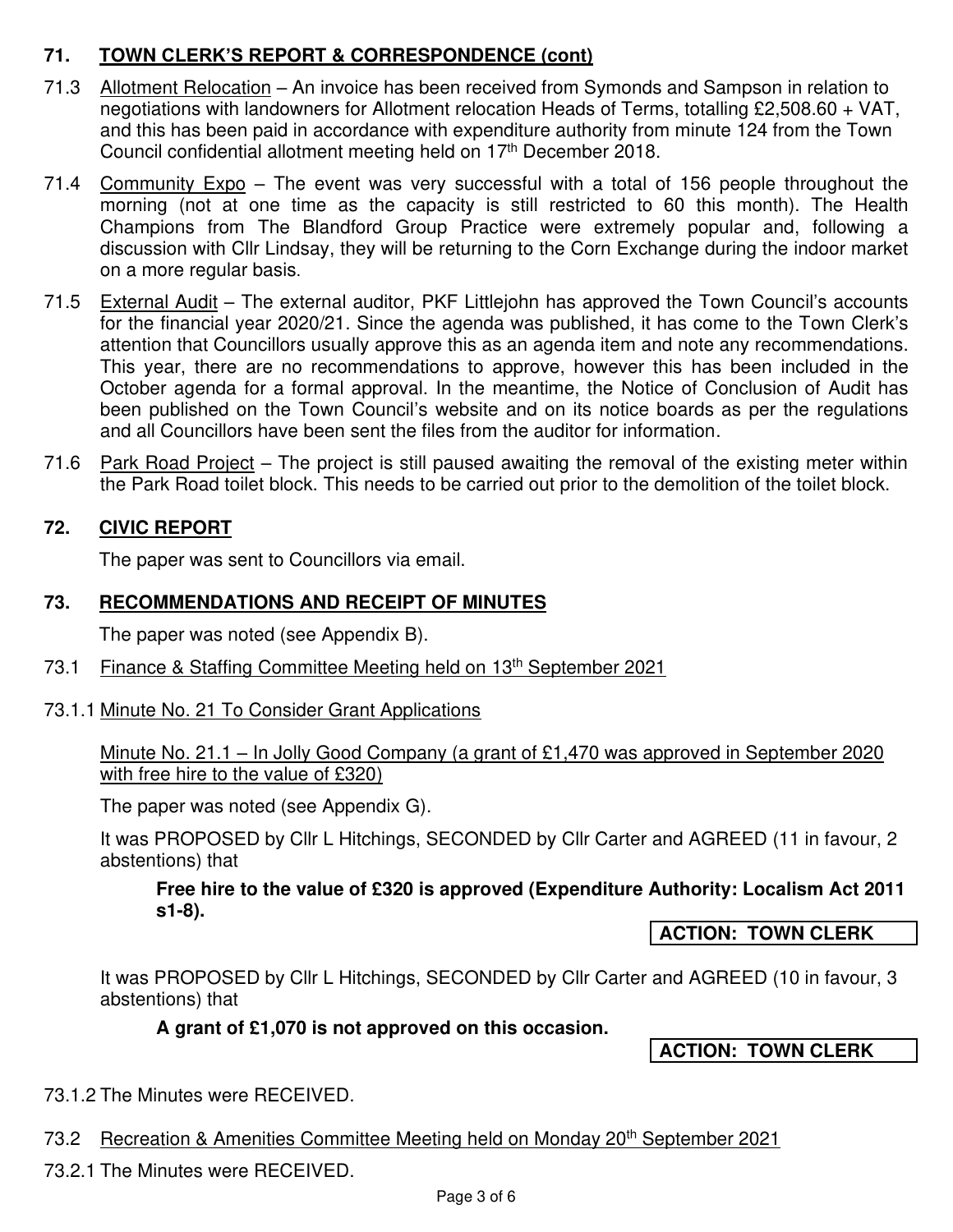# **71. TOWN CLERK'S REPORT & CORRESPONDENCE (cont)**

- 71.3 Allotment Relocation An invoice has been received from Symonds and Sampson in relation to negotiations with landowners for Allotment relocation Heads of Terms, totalling £2,508.60 + VAT, and this has been paid in accordance with expenditure authority from minute 124 from the Town Council confidential allotment meeting held on 17<sup>th</sup> December 2018.
- 71.4 Community Expo The event was very successful with a total of 156 people throughout the morning (not at one time as the capacity is still restricted to 60 this month). The Health Champions from The Blandford Group Practice were extremely popular and, following a discussion with Cllr Lindsay, they will be returning to the Corn Exchange during the indoor market on a more regular basis.
- 71.5 External Audit The external auditor, PKF Littlejohn has approved the Town Council's accounts for the financial year 2020/21. Since the agenda was published, it has come to the Town Clerk's attention that Councillors usually approve this as an agenda item and note any recommendations. This year, there are no recommendations to approve, however this has been included in the October agenda for a formal approval. In the meantime, the Notice of Conclusion of Audit has been published on the Town Council's website and on its notice boards as per the regulations and all Councillors have been sent the files from the auditor for information.
- 71.6 Park Road Project The project is still paused awaiting the removal of the existing meter within the Park Road toilet block. This needs to be carried out prior to the demolition of the toilet block.

### **72. CIVIC REPORT**

The paper was sent to Councillors via email.

#### **73. RECOMMENDATIONS AND RECEIPT OF MINUTES**

The paper was noted (see Appendix B).

73.1 Finance & Staffing Committee Meeting held on 13<sup>th</sup> September 2021

#### 73.1.1 Minute No. 21 To Consider Grant Applications

Minute No. 21.1 – In Jolly Good Company (a grant of £1,470 was approved in September 2020 with free hire to the value of £320)

The paper was noted (see Appendix G).

It was PROPOSED by Cllr L Hitchings, SECONDED by Cllr Carter and AGREED (11 in favour, 2 abstentions) that

#### **Free hire to the value of £320 is approved (Expenditure Authority: Localism Act 2011 s1-8).**

**ACTION: TOWN CLERK** 

It was PROPOSED by Cllr L Hitchings, SECONDED by Cllr Carter and AGREED (10 in favour, 3 abstentions) that

**A grant of £1,070 is not approved on this occasion.** 

**ACTION: TOWN CLERK** 

73.1.2 The Minutes were RECEIVED.

73.2 Recreation & Amenities Committee Meeting held on Monday 20<sup>th</sup> September 2021

73.2.1 The Minutes were RECEIVED.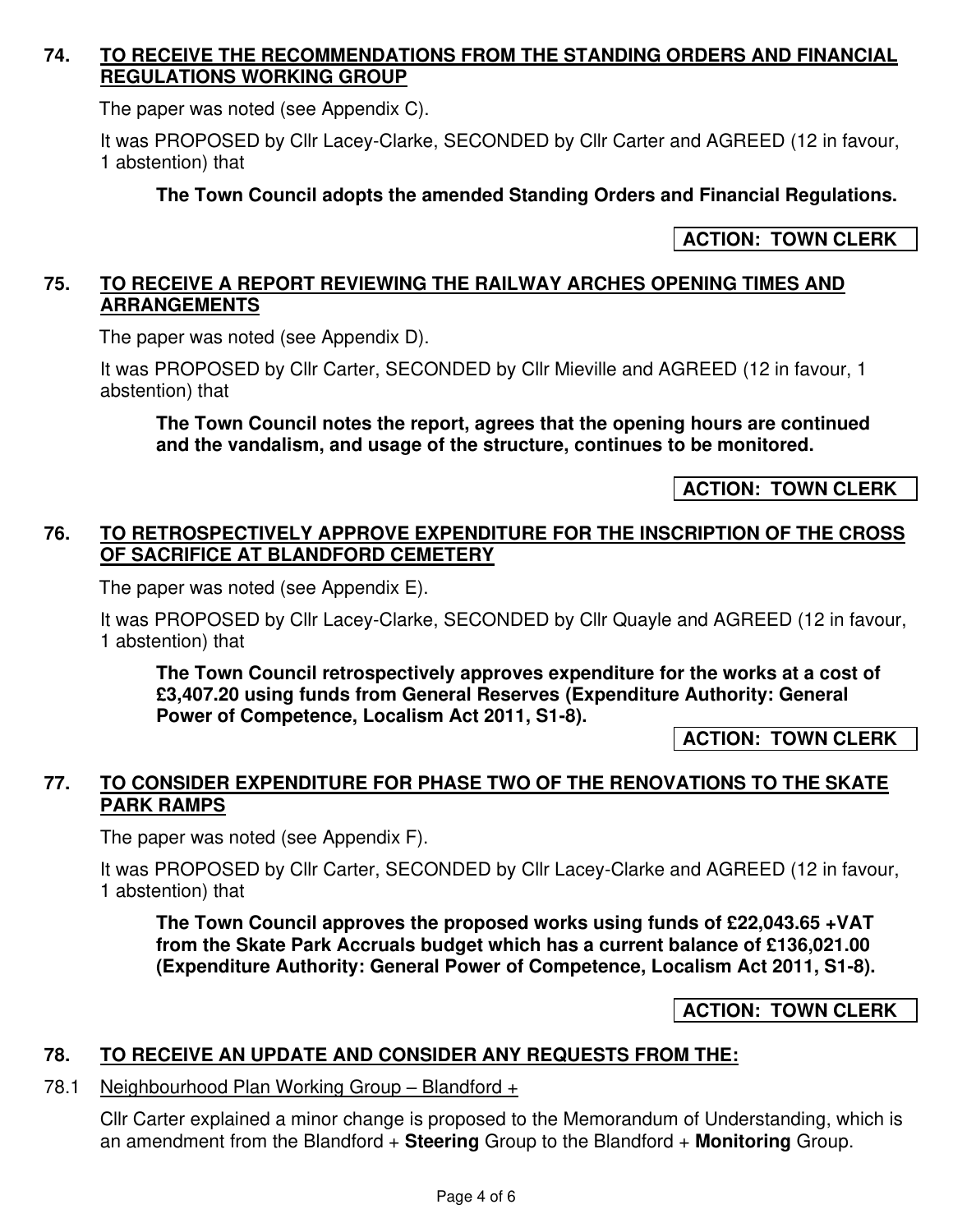#### **74. TO RECEIVE THE RECOMMENDATIONS FROM THE STANDING ORDERS AND FINANCIAL REGULATIONS WORKING GROUP**

The paper was noted (see Appendix C).

It was PROPOSED by Cllr Lacey-Clarke, SECONDED by Cllr Carter and AGREED (12 in favour, 1 abstention) that

#### **The Town Council adopts the amended Standing Orders and Financial Regulations.**

#### **ACTION: TOWN CLERK**

#### **75. TO RECEIVE A REPORT REVIEWING THE RAILWAY ARCHES OPENING TIMES AND ARRANGEMENTS**

The paper was noted (see Appendix D).

It was PROPOSED by Cllr Carter, SECONDED by Cllr Mieville and AGREED (12 in favour, 1 abstention) that

**The Town Council notes the report, agrees that the opening hours are continued and the vandalism, and usage of the structure, continues to be monitored.**

**ACTION: TOWN CLERK** 

#### **76. TO RETROSPECTIVELY APPROVE EXPENDITURE FOR THE INSCRIPTION OF THE CROSS OF SACRIFICE AT BLANDFORD CEMETERY**

The paper was noted (see Appendix E).

It was PROPOSED by Cllr Lacey-Clarke, SECONDED by Cllr Quayle and AGREED (12 in favour, 1 abstention) that

**The Town Council retrospectively approves expenditure for the works at a cost of £3,407.20 using funds from General Reserves (Expenditure Authority: General Power of Competence, Localism Act 2011, S1-8).** 

**ACTION: TOWN CLERK** 

### **77. TO CONSIDER EXPENDITURE FOR PHASE TWO OF THE RENOVATIONS TO THE SKATE PARK RAMPS**

The paper was noted (see Appendix F).

It was PROPOSED by Cllr Carter, SECONDED by Cllr Lacey-Clarke and AGREED (12 in favour, 1 abstention) that

**The Town Council approves the proposed works using funds of £22,043.65 +VAT from the Skate Park Accruals budget which has a current balance of £136,021.00 (Expenditure Authority: General Power of Competence, Localism Act 2011, S1-8).** 

**ACTION: TOWN CLERK** 

#### **78. TO RECEIVE AN UPDATE AND CONSIDER ANY REQUESTS FROM THE:**

#### 78.1 Neighbourhood Plan Working Group – Blandford +

Cllr Carter explained a minor change is proposed to the Memorandum of Understanding, which is an amendment from the Blandford + **Steering** Group to the Blandford + **Monitoring** Group.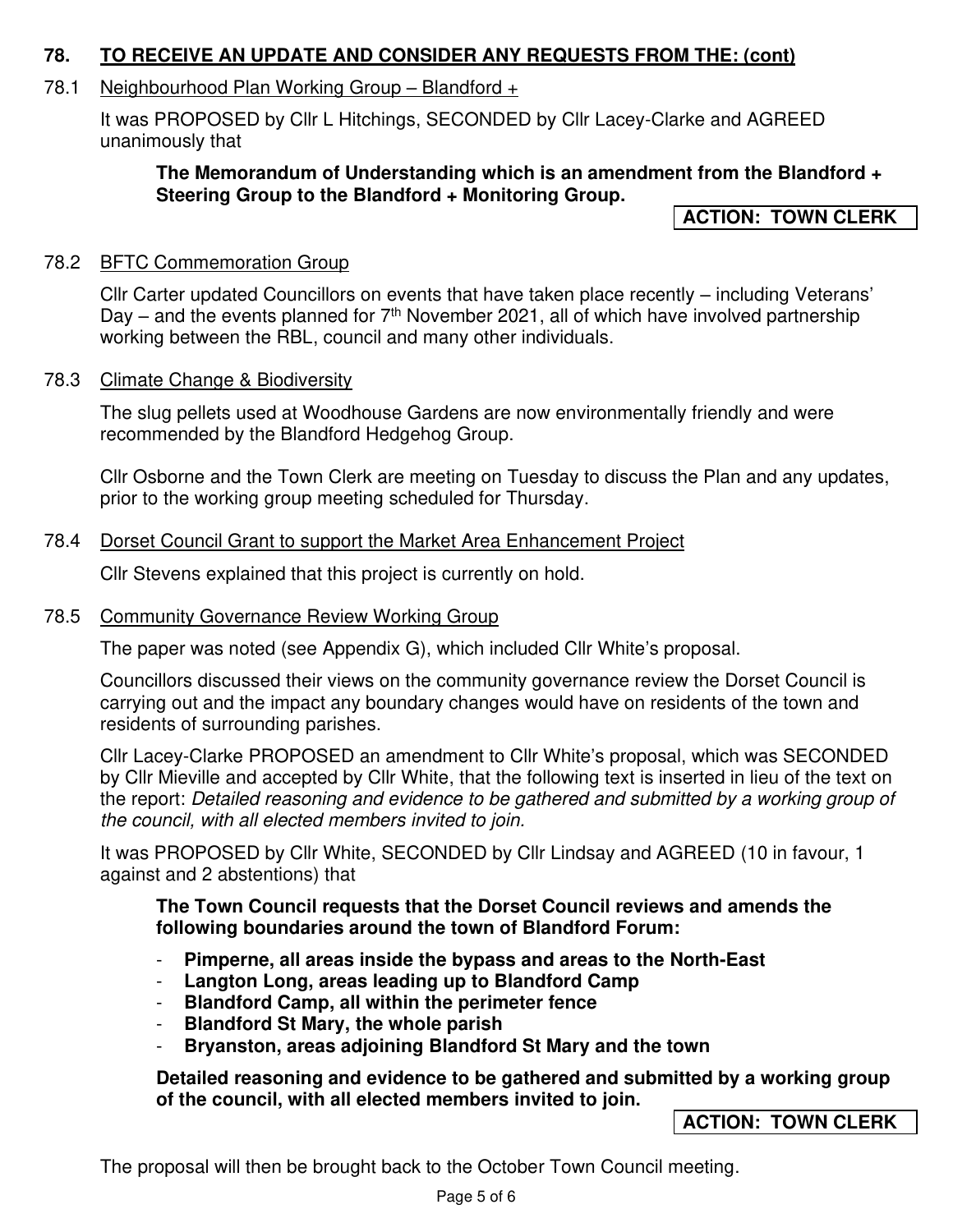#### **78. TO RECEIVE AN UPDATE AND CONSIDER ANY REQUESTS FROM THE: (cont)**

# 78.1 Neighbourhood Plan Working Group – Blandford +

It was PROPOSED by Cllr L Hitchings, SECONDED by Cllr Lacey-Clarke and AGREED unanimously that

### **The Memorandum of Understanding which is an amendment from the Blandford + Steering Group to the Blandford + Monitoring Group.**

**ACTION: TOWN CLERK** 

# 78.2 BFTC Commemoration Group

Cllr Carter updated Councillors on events that have taken place recently – including Veterans' Day – and the events planned for  $7<sup>th</sup>$  November 2021, all of which have involved partnership working between the RBL, council and many other individuals.

# 78.3 Climate Change & Biodiversity

The slug pellets used at Woodhouse Gardens are now environmentally friendly and were recommended by the Blandford Hedgehog Group.

Cllr Osborne and the Town Clerk are meeting on Tuesday to discuss the Plan and any updates, prior to the working group meeting scheduled for Thursday.

# 78.4 Dorset Council Grant to support the Market Area Enhancement Project

Cllr Stevens explained that this project is currently on hold.

# 78.5 Community Governance Review Working Group

The paper was noted (see Appendix G), which included Cllr White's proposal.

Councillors discussed their views on the community governance review the Dorset Council is carrying out and the impact any boundary changes would have on residents of the town and residents of surrounding parishes.

Cllr Lacey-Clarke PROPOSED an amendment to Cllr White's proposal, which was SECONDED by Cllr Mieville and accepted by Cllr White, that the following text is inserted in lieu of the text on the report: Detailed reasoning and evidence to be gathered and submitted by a working group of the council, with all elected members invited to join.

It was PROPOSED by Cllr White, SECONDED by Cllr Lindsay and AGREED (10 in favour, 1 against and 2 abstentions) that

### **The Town Council requests that the Dorset Council reviews and amends the following boundaries around the town of Blandford Forum:**

- **Pimperne, all areas inside the bypass and areas to the North-East**
- **Langton Long, areas leading up to Blandford Camp**
- **Blandford Camp, all within the perimeter fence**
- **Blandford St Mary, the whole parish**
- **Bryanston, areas adjoining Blandford St Mary and the town**

**Detailed reasoning and evidence to be gathered and submitted by a working group of the council, with all elected members invited to join.** 

# **ACTION: TOWN CLERK**

The proposal will then be brought back to the October Town Council meeting.